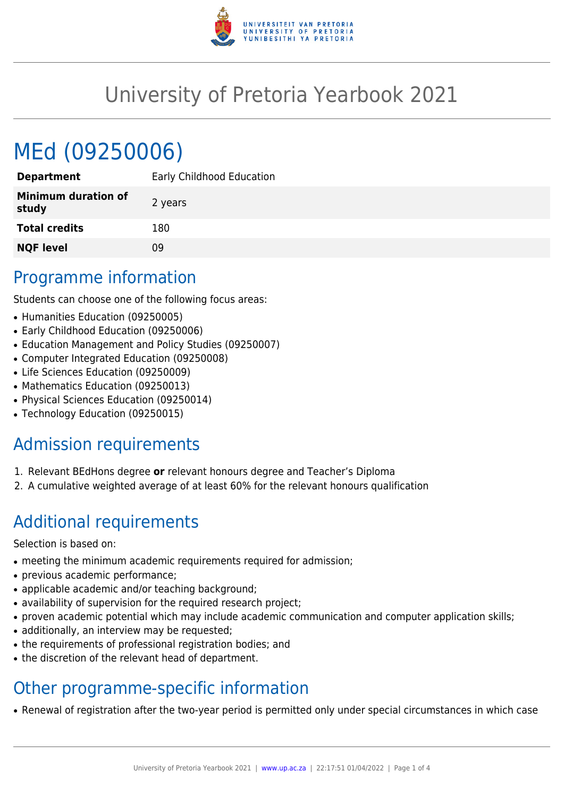

# University of Pretoria Yearbook 2021

# MEd (09250006)

| <b>Department</b>            | Early Childhood Education |
|------------------------------|---------------------------|
| Minimum duration of<br>study | 2 years                   |
| <b>Total credits</b>         | 180                       |
| <b>NQF level</b>             | ΩÓ                        |

# Programme information

Students can choose one of the following focus areas:

- Humanities Education (09250005)
- Early Childhood Education (09250006)
- Education Management and Policy Studies (09250007)
- Computer Integrated Education (09250008)
- Life Sciences Education (09250009)
- Mathematics Education (09250013)
- Physical Sciences Education (09250014)
- Technology Education (09250015)

# Admission requirements

- 1. Relevant BEdHons degree **or** relevant honours degree and Teacher's Diploma
- 2. A cumulative weighted average of at least 60% for the relevant honours qualification

# Additional requirements

Selection is based on:

- meeting the minimum academic requirements required for admission;
- previous academic performance;
- applicable academic and/or teaching background;
- availability of supervision for the required research project;
- proven academic potential which may include academic communication and computer application skills;
- additionally, an interview may be requested;
- the requirements of professional registration bodies; and
- the discretion of the relevant head of department.

# Other programme-specific information

• Renewal of registration after the two-year period is permitted only under special circumstances in which case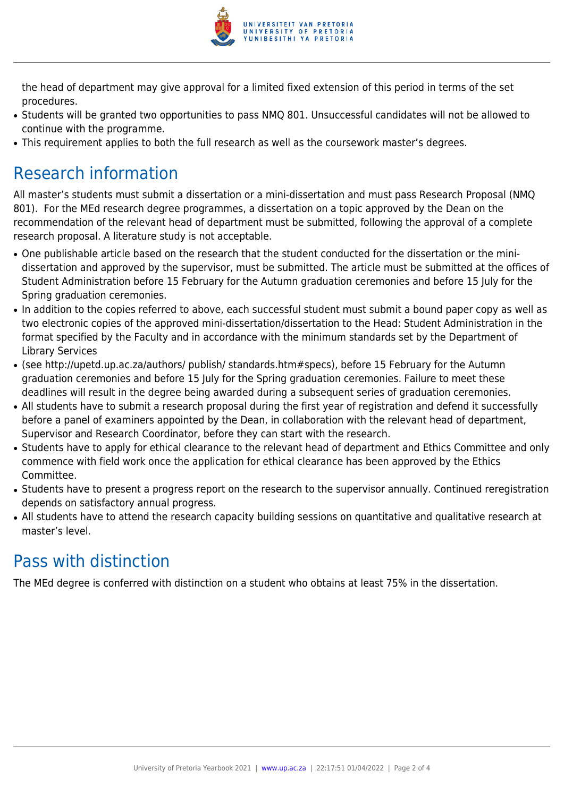

the head of department may give approval for a limited fixed extension of this period in terms of the set procedures.

- Students will be granted two opportunities to pass NMQ 801. Unsuccessful candidates will not be allowed to continue with the programme.
- This requirement applies to both the full research as well as the coursework master's degrees.

# Research information

All master's students must submit a dissertation or a mini-dissertation and must pass Research Proposal (NMQ 801). For the MEd research degree programmes, a dissertation on a topic approved by the Dean on the recommendation of the relevant head of department must be submitted, following the approval of a complete research proposal. A literature study is not acceptable.

- One publishable article based on the research that the student conducted for the dissertation or the minidissertation and approved by the supervisor, must be submitted. The article must be submitted at the offices of Student Administration before 15 February for the Autumn graduation ceremonies and before 15 July for the Spring graduation ceremonies.
- In addition to the copies referred to above, each successful student must submit a bound paper copy as well as two electronic copies of the approved mini-dissertation/dissertation to the Head: Student Administration in the format specified by the Faculty and in accordance with the minimum standards set by the Department of Library Services
- (see http://upetd.up.ac.za/authors/ publish/ standards.htm#specs), before 15 February for the Autumn graduation ceremonies and before 15 July for the Spring graduation ceremonies. Failure to meet these deadlines will result in the degree being awarded during a subsequent series of graduation ceremonies.
- All students have to submit a research proposal during the first year of registration and defend it successfully before a panel of examiners appointed by the Dean, in collaboration with the relevant head of department, Supervisor and Research Coordinator, before they can start with the research.
- Students have to apply for ethical clearance to the relevant head of department and Ethics Committee and only commence with field work once the application for ethical clearance has been approved by the Ethics Committee.
- Students have to present a progress report on the research to the supervisor annually. Continued reregistration depends on satisfactory annual progress.
- All students have to attend the research capacity building sessions on quantitative and qualitative research at master's level.

# Pass with distinction

The MEd degree is conferred with distinction on a student who obtains at least 75% in the dissertation.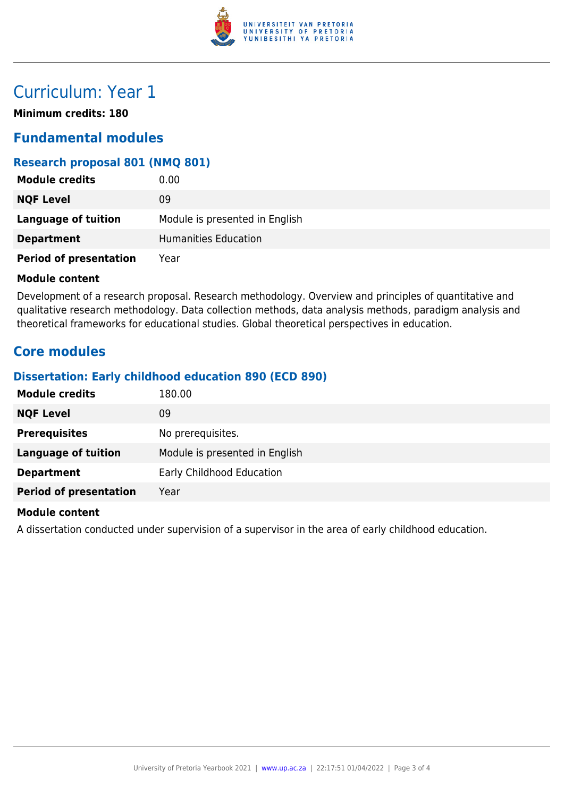

# Curriculum: Year 1

**Minimum credits: 180**

### **Fundamental modules**

### **Research proposal 801 (NMQ 801)**

| <b>Module credits</b>         | 0.00                           |
|-------------------------------|--------------------------------|
| <b>NQF Level</b>              | 09                             |
| <b>Language of tuition</b>    | Module is presented in English |
| <b>Department</b>             | Humanities Education           |
| <b>Period of presentation</b> | Year                           |

#### **Module content**

Development of a research proposal. Research methodology. Overview and principles of quantitative and qualitative research methodology. Data collection methods, data analysis methods, paradigm analysis and theoretical frameworks for educational studies. Global theoretical perspectives in education.

### **Core modules**

### **Dissertation: Early childhood education 890 (ECD 890)**

| <b>Module credits</b>         | 180.00                         |
|-------------------------------|--------------------------------|
| <b>NQF Level</b>              | 09                             |
| <b>Prerequisites</b>          | No prerequisites.              |
| <b>Language of tuition</b>    | Module is presented in English |
| <b>Department</b>             | Early Childhood Education      |
| <b>Period of presentation</b> | Year                           |

#### **Module content**

A dissertation conducted under supervision of a supervisor in the area of early childhood education.